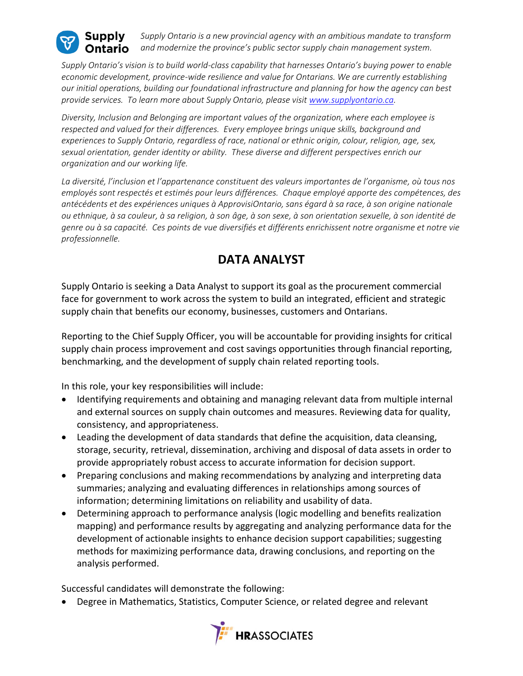

*Supply Ontario is a new provincial agency with an ambitious mandate to transform and modernize the province's public sector supply chain management system.*

*Supply Ontario's vision is to build world-class capability that harnesses Ontario's buying power to enable economic development, province-wide resilience and value for Ontarians. We are currently establishing our initial operations, building our foundational infrastructure and planning for how the agency can best provide services. To learn more about Supply Ontario, please visit [www.supplyontario.ca.](http://www.supplyontario.ca/)* 

*Diversity, Inclusion and Belonging are important values of the organization, where each employee is respected and valued for their differences. Every employee brings unique skills, background and experiences to Supply Ontario, regardless of race, national or ethnic origin, colour, religion, age, sex, sexual orientation, gender identity or ability. These diverse and different perspectives enrich our organization and our working life.*

*La diversité, l'inclusion et l'appartenance constituent des valeurs importantes de l'organisme, où tous nos employés sont respectés et estimés pour leurs différences. Chaque employé apporte des compétences, des antécédents et des expériences uniques à ApprovisiOntario, sans égard à sa race, à son origine nationale ou ethnique, à sa couleur, à sa religion, à son âge, à son sexe, à son orientation sexuelle, à son identité de genre ou à sa capacité. Ces points de vue diversifiés et différents enrichissent notre organisme et notre vie professionnelle.*

## **DATA ANALYST**

Supply Ontario is seeking a Data Analyst to support its goal as the procurement commercial face for government to work across the system to build an integrated, efficient and strategic supply chain that benefits our economy, businesses, customers and Ontarians.

Reporting to the Chief Supply Officer, you will be accountable for providing insights for critical supply chain process improvement and cost savings opportunities through financial reporting, benchmarking, and the development of supply chain related reporting tools.

In this role, your key responsibilities will include:

- Identifying requirements and obtaining and managing relevant data from multiple internal and external sources on supply chain outcomes and measures. Reviewing data for quality, consistency, and appropriateness.
- Leading the development of data standards that define the acquisition, data cleansing, storage, security, retrieval, dissemination, archiving and disposal of data assets in order to provide appropriately robust access to accurate information for decision support.
- Preparing conclusions and making recommendations by analyzing and interpreting data summaries; analyzing and evaluating differences in relationships among sources of information; determining limitations on reliability and usability of data.
- Determining approach to performance analysis (logic modelling and benefits realization mapping) and performance results by aggregating and analyzing performance data for the development of actionable insights to enhance decision support capabilities; suggesting methods for maximizing performance data, drawing conclusions, and reporting on the analysis performed.

Successful candidates will demonstrate the following:

• Degree in Mathematics, Statistics, Computer Science, or related degree and relevant